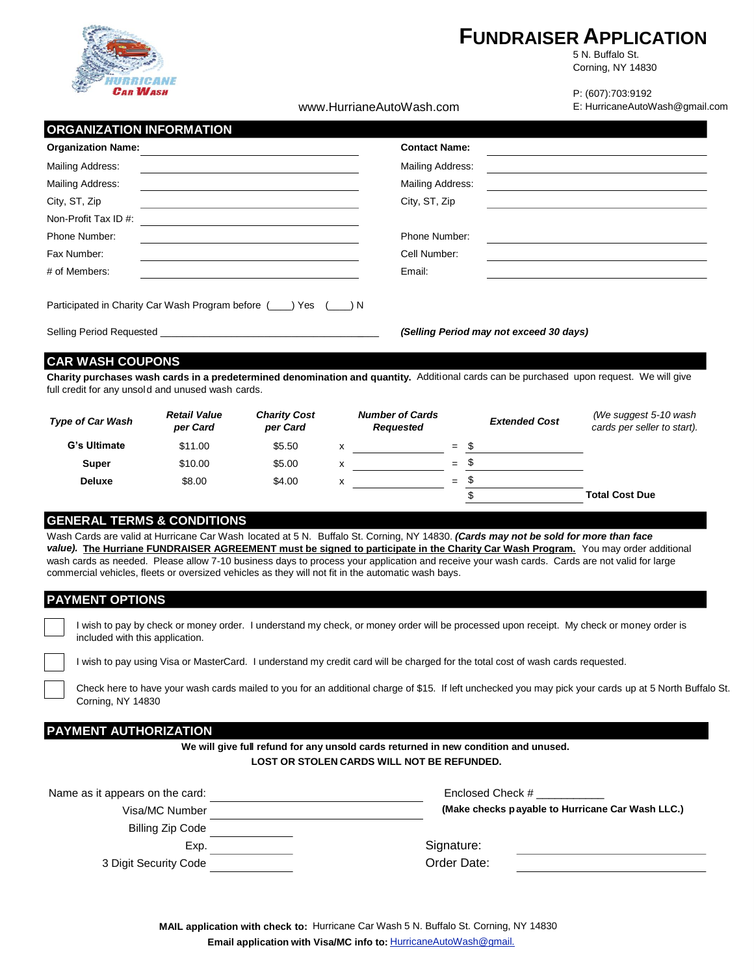

# **FUNDRAISER APPLICATION**

5 N. Buffalo St. Corning, NY 14830

www.HurrianeAutoWash.com

P: (607):703:9192 E: HurricaneAutoWash@gmail.com

# **ORGANIZATION INFORMATION**

| <b>Organization Name:</b>                                         | <b>Contact Name:</b>                    |
|-------------------------------------------------------------------|-----------------------------------------|
| Mailing Address:                                                  | Mailing Address:                        |
| Mailing Address:                                                  | Mailing Address:                        |
| City, ST, Zip                                                     | City, ST, Zip                           |
| Non-Profit Tax ID #:                                              |                                         |
| Phone Number:                                                     | Phone Number:                           |
| Fax Number:                                                       | Cell Number:                            |
| # of Members:                                                     | Email:                                  |
| Participated in Charity Car Wash Program before (1) Yes (2011) N  |                                         |
| Selling Period Requested <b>Exercise Selling</b> Period Requested | (Selling Period may not exceed 30 days) |

# **CAR WASH COUPONS**

Charity purchases wash cards in a predetermined denomination and quantity. Additional cards can be purchased upon request. We will give full credit for any unsol d and unused wash cards.

| <b>Type of Car Wash</b> | <b>Retail Value</b><br>per Card | <b>Charity Cost</b><br>per Card | <b>Number of Cards</b><br>Requested |     | <b>Extended Cost</b> | (We suggest 5-10 wash<br>cards per seller to start). |
|-------------------------|---------------------------------|---------------------------------|-------------------------------------|-----|----------------------|------------------------------------------------------|
| G's Ultimate            | \$11.00                         | \$5.50                          |                                     | $=$ |                      |                                                      |
| <b>Super</b>            | \$10.00                         | \$5.00                          |                                     | $=$ |                      |                                                      |
| <b>Deluxe</b>           | \$8.00                          | \$4.00                          |                                     | $=$ |                      |                                                      |
|                         |                                 |                                 |                                     |     | \$                   | <b>Total Cost Due</b>                                |

# **GENERAL TERMS & CONDITIONS**

Wash Cards are valid at Hurricane Car Wash located at 5 N. Buffalo St. Corning, NY 14830. *(Cards may not be sold for more than face value).* **The Hurriane FUNDRAISER AGREEMENT must be signed to participate in the Charity Car Wash Program.** You may order additional wash cards as needed. Please allow 7-10 business days to process your application and receive your wash cards. Cards are not valid for large commercial vehicles, fleets or oversized vehicles as they will not fit in the automatic wash bays.

# **PAYMENT OPTIONS**

|                                 | I wish to pay by check or money order. I understand my check, or money order will be processed upon receipt. My check or money order is |  |
|---------------------------------|-----------------------------------------------------------------------------------------------------------------------------------------|--|
| included with this application. |                                                                                                                                         |  |

I wish to pay using Visa or MasterCard. I understand my credit card will be charged for the total cost of wash cards requested.

Check here to have your wash cards mailed to you for an additional charge of \$15. If left unchecked you may pick your cards up at 5 North Buffalo St. Corning, NY 14830

# **PAYMENT AUTHORIZATION**

**We will give full refund for any unsold cards returned in new condition and unused. LOST OR STOLEN CARDS WILL NOT BE REFUNDED.** 

| Name as it appears on the card: | Enclosed Check #                                 |
|---------------------------------|--------------------------------------------------|
| Visa/MC Number                  | (Make checks payable to Hurricane Car Wash LLC.) |
| Billing Zip Code                |                                                  |
| Exp.                            | Signature:                                       |
| 3 Digit Security Code           | Order Date:                                      |
|                                 |                                                  |